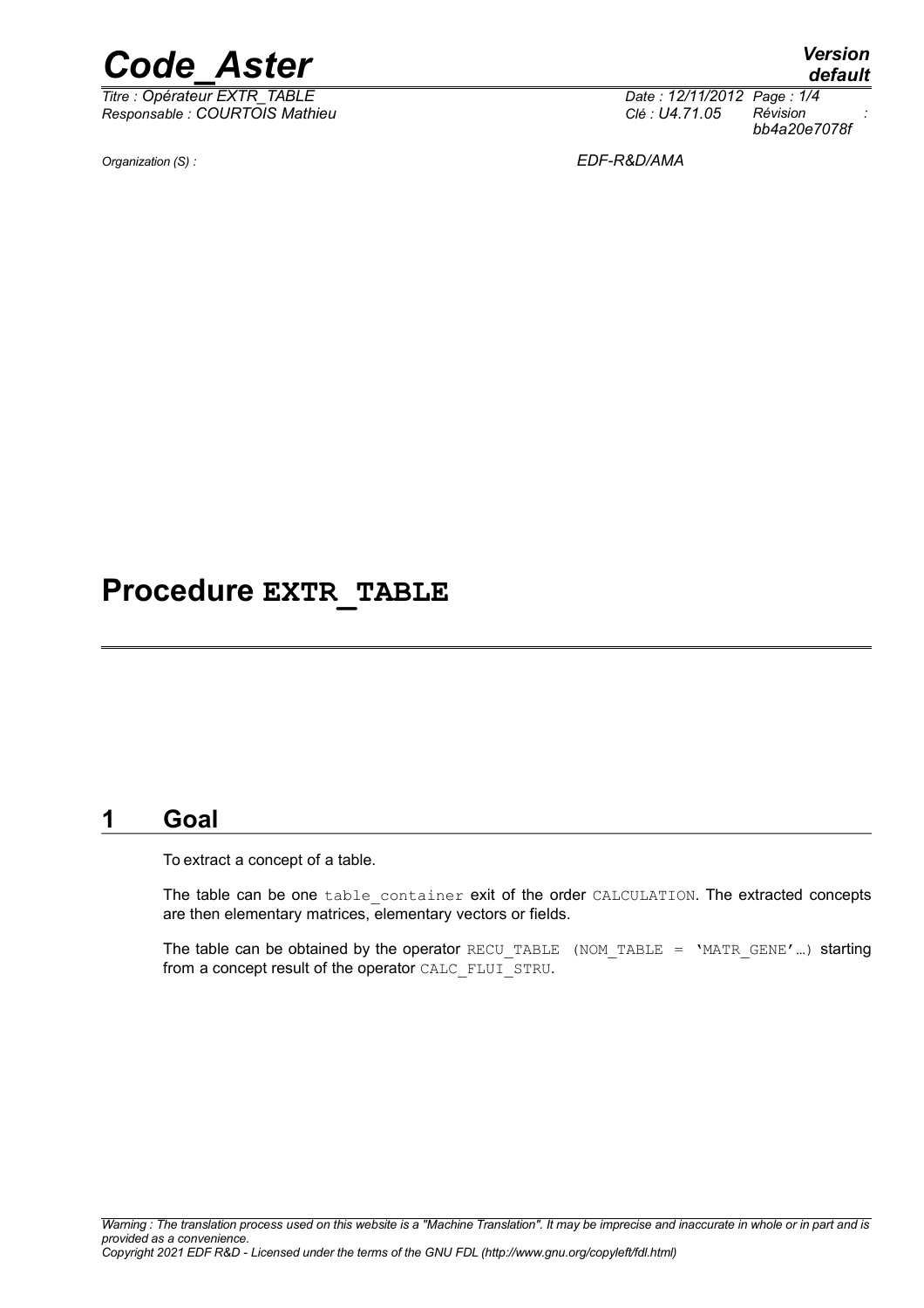

*Titre : Opérateur EXTR\_TABLE Date : 12/11/2012 Page : 1/4 Responsable : COURTOIS Mathieu Clé : U4.71.05 Révision :*

*default*

*bb4a20e7078f*

*Organization (S) : EDF-R&D/AMA*

# **Procedure EXTR\_TABLE**

### **1 Goal**

To extract a concept of a table.

The table can be one table container exit of the order CALCULATION. The extracted concepts are then elementary matrices, elementary vectors or fields.

The table can be obtained by the operator RECU\_TABLE (NOM\_TABLE = 'MATR\_GENE'...) starting from a concept result of the operator CALC\_FLUI\_STRU.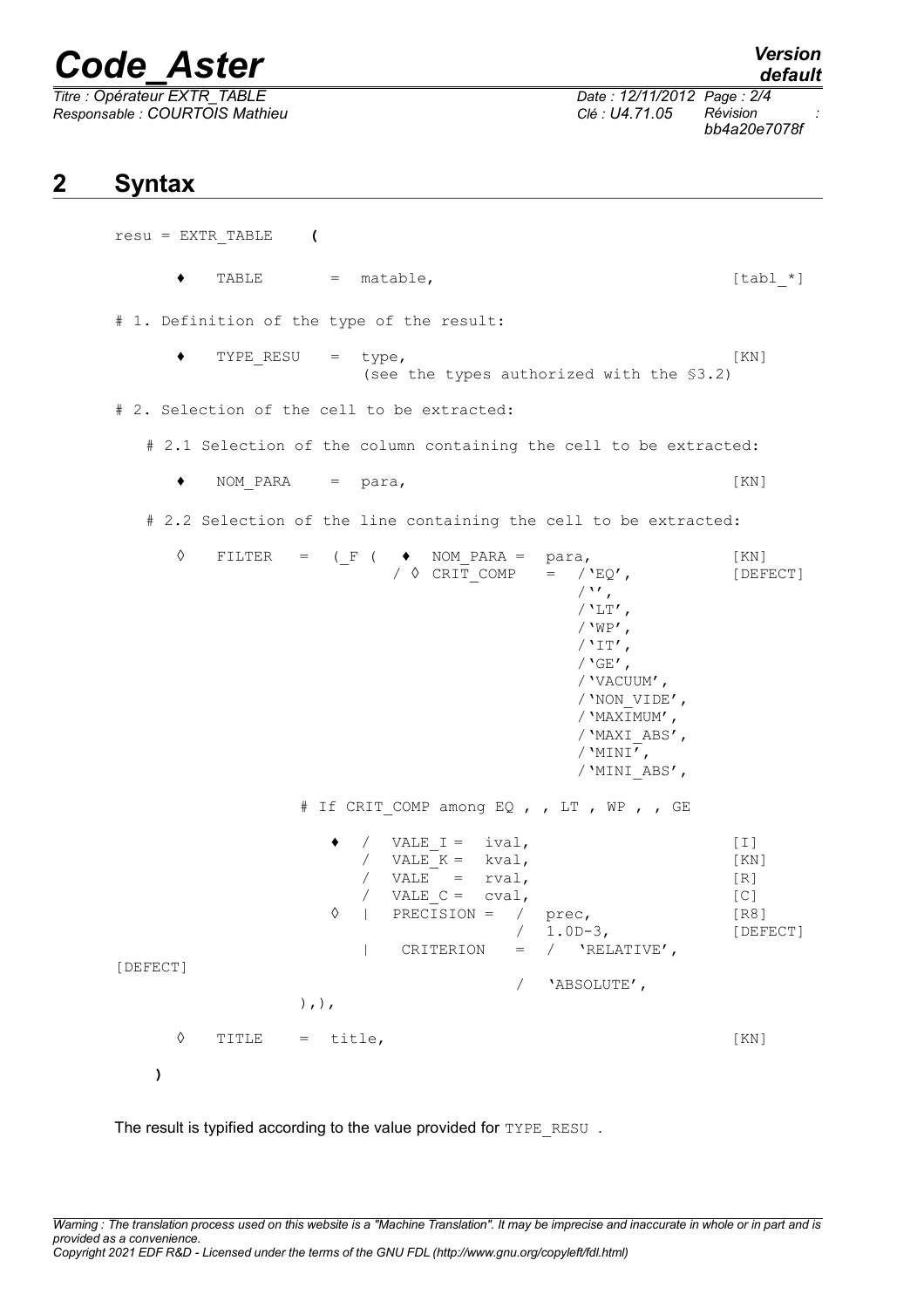# *Code\_Aster Version*

 $\overline{T}$ itre : Opérateur EXTR\_TABLE *Responsable : COURTOIS Mathieu Clé : U4.71.05 Révision :*

## **2 Syntax**

resu = EXTR\_TABLE **(**  $\bullet$  TABLE = matable, [tabl \*] # 1. Definition of the type of the result:  $\bullet$  TYPE RESU = type, [KN] (see the types authorized with the §3.2) # 2. Selection of the cell to be extracted: # 2.1 Selection of the column containing the cell to be extracted: ♦ NOM\_PARA = para, [KN] # 2.2 Selection of the line containing the cell to be extracted:  $\Diamond$  FILTER = (\_F (  $\blacklozenge$  NOM\_PARA = para, [KN]<br>  $\Diamond$  CRIT COMP =  $\angle$ 'EQ', [DEF  $/$   $\circ$  CRIT COMP =  $/$ 'EQ', [DEFECT]  $/$ '',  $/$ 'LT', / $'W$ P',  $/$ 'IT', /  $'GE'$ , /'VACUUM', /'NON\_VIDE', /'MAXIMUM', /'MAXI\_ABS',  $/$ 'MINI', /'MINI\_ABS', # If CRIT COMP among EQ , , LT , WP , , GE  $\bullet$  / VALE I = ival,  $[1]$ /  $VALE<sup>-</sup>K = kval$ , [KN] /  $VALE^- = rval$ ,  $[R]$ / VALE  $C = cval$ ,  $[C]$  $\sqrt[6]{}$  | PRECISION = / prec, [R8] / 1.0D-3, [DEFECT]  $|$  CRITERION =  $/$  'RELATIVE', [DEFECT] / 'ABSOLUTE',  $),$ ), ◊ TITLE = title, [KN] **)**

The result is typified according to the value provided for TYPE\_RESU .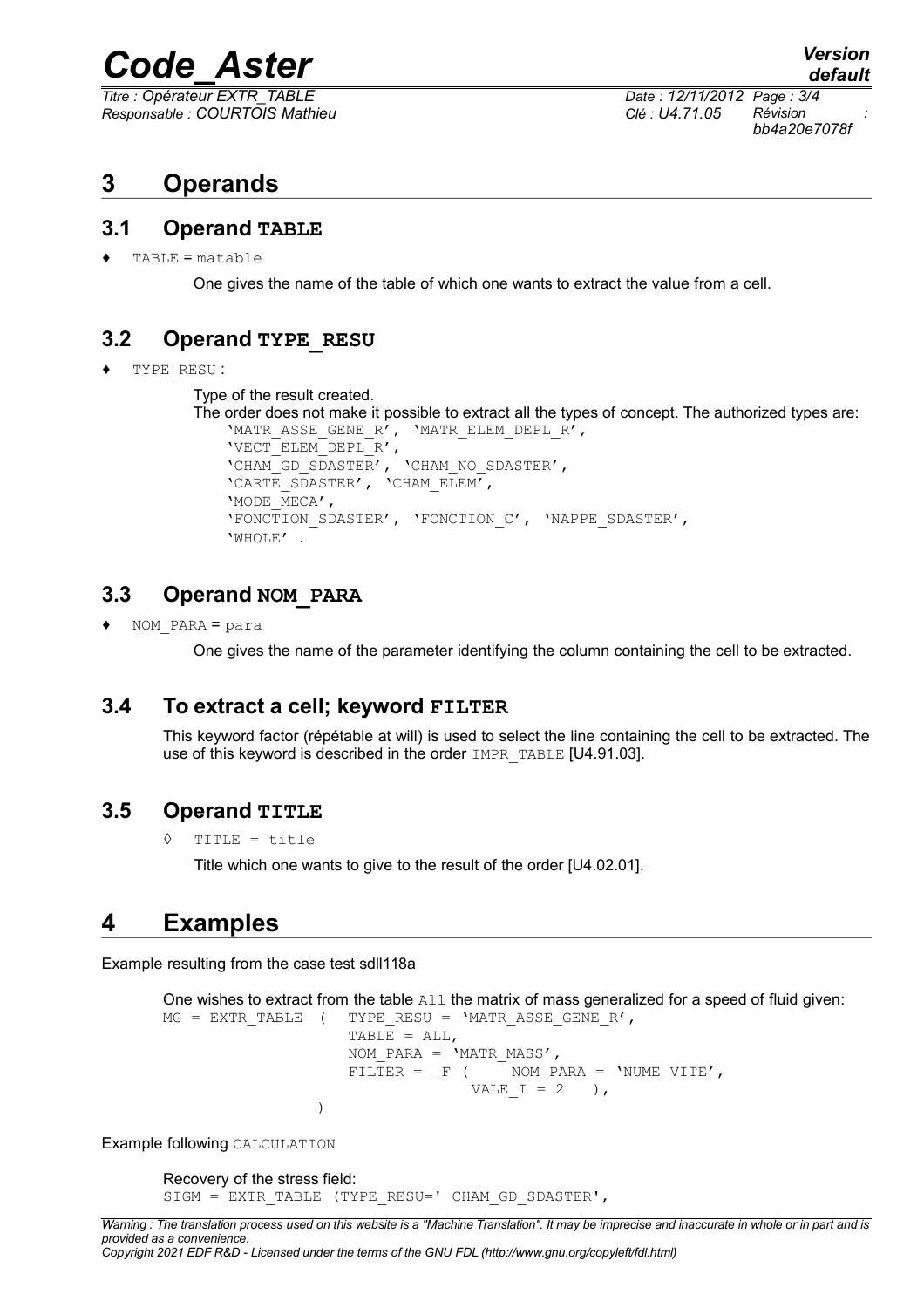# *Code\_Aster Version*

*Titre : Opérateur EXTR\_TABLE Date : 12/11/2012 Page : 3/4 Responsable : COURTOIS Mathieu Clé : U4.71.05 Révision :*

*bb4a20e7078f*

## **3 Operands**

#### **3.1 Operand TABLE**

 $TABLE = matchle$ 

One gives the name of the table of which one wants to extract the value from a cell.

### **3.2 Operand TYPE\_RESU**

TYPE RESU :

Type of the result created.

```
The order does not make it possible to extract all the types of concept. The authorized types are:
    'MATR_ASSE_GENE_R', 'MATR_ELEM_DEPL_R',
    'VECT_ELEM_DEPL_R',
    'CHAM_GD_SDASTER', 'CHAM_NO_SDASTER',
    'CARTE_SDASTER', 'CHAM_ELEM',
    'MODE_MECA',
    'FONCTION_SDASTER', 'FONCTION_C', 'NAPPE_SDASTER',
    'WHOLE' .
```
#### **3.3 Operand NOM\_PARA**

♦ NOM\_PARA = para

One gives the name of the parameter identifying the column containing the cell to be extracted.

#### **3.4 To extract a cell; keyword FILTER**

This keyword factor (répétable at will) is used to select the line containing the cell to be extracted. The use of this keyword is described in the order IMPR\_TABLE [U4.91.03].

#### **3.5 Operand TITLE**

◊ TITLE = title

Title which one wants to give to the result of the order [U4.02.01].

### **4 Examples**

Example resulting from the case test sdll118a

```
One wishes to extract from the table A11 the matrix of mass generalized for a speed of fluid given:
```

```
MG = EXTR TABLE ( TYPE RESU = 'MATR ASSE GENE R',
                   TABLE = ALL,
                   NOM PARA = 'MATR MASS',
                   FILTER = _F ( NOM\_PARA = 'NUME\_VITE',
                                VALE I = 2 ),
                )
```
Example following CALCULATION

```
Recovery of the stress field:
SIGM = EXTR_TABLE (TYPE_RESU=' CHAM_GD_SDASTER',
```
*Copyright 2021 EDF R&D - Licensed under the terms of the GNU FDL (http://www.gnu.org/copyleft/fdl.html)*

*Warning : The translation process used on this website is a "Machine Translation". It may be imprecise and inaccurate in whole or in part and is provided as a convenience.*